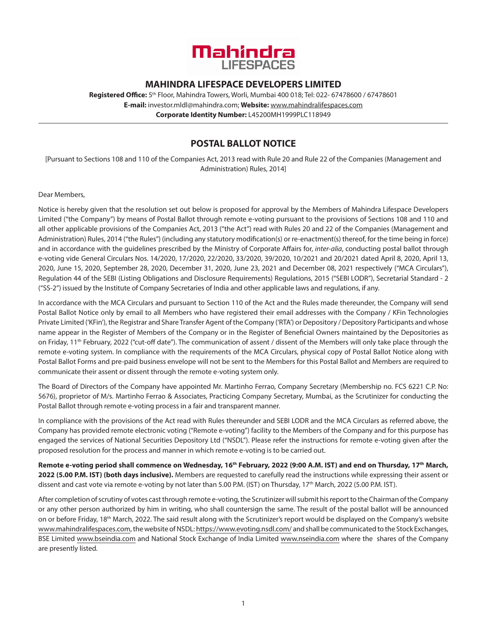

# **MAHINDRA LIFESPACE DEVELOPERS LIMITED**

**Registered Office:** 5th Floor, Mahindra Towers, Worli, Mumbai 400 018; Tel: 022- 67478600 / 67478601 **E-mail:** investor.mldl@mahindra.com; **Website:** www.mahindralifespaces.com **Corporate Identity Number:** L45200MH1999PLC118949

# **POSTAL BALLOT NOTICE**

[Pursuant to Sections 108 and 110 of the Companies Act, 2013 read with Rule 20 and Rule 22 of the Companies (Management and Administration) Rules, 2014]

### Dear Members,

Notice is hereby given that the resolution set out below is proposed for approval by the Members of Mahindra Lifespace Developers Limited ("the Company") by means of Postal Ballot through remote e-voting pursuant to the provisions of Sections 108 and 110 and all other applicable provisions of the Companies Act, 2013 ("the Act") read with Rules 20 and 22 of the Companies (Management and Administration) Rules, 2014 ("the Rules") (including any statutory modification(s) or re-enactment(s) thereof, for the time being in force) and in accordance with the guidelines prescribed by the Ministry of Corporate Affairs for, *inter-alia*, conducting postal ballot through e-voting vide General Circulars Nos. 14/2020, 17/2020, 22/2020, 33/2020, 39/2020, 10/2021 and 20/2021 dated April 8, 2020, April 13, 2020, June 15, 2020, September 28, 2020, December 31, 2020, June 23, 2021 and December 08, 2021 respectively ("MCA Circulars"), Regulation 44 of the SEBI (Listing Obligations and Disclosure Requirements) Regulations, 2015 ("SEBI LODR"), Secretarial Standard - 2 ("SS-2") issued by the Institute of Company Secretaries of India and other applicable laws and regulations, if any.

In accordance with the MCA Circulars and pursuant to Section 110 of the Act and the Rules made thereunder, the Company will send Postal Ballot Notice only by email to all Members who have registered their email addresses with the Company / KFin Technologies Private Limited ('KFin'), the Registrar and Share Transfer Agent of the Company ('RTA') or Depository / Depository Participants and whose name appear in the Register of Members of the Company or in the Register of Beneficial Owners maintained by the Depositories as on Friday, 11<sup>th</sup> February, 2022 ("cut-off date"). The communication of assent / dissent of the Members will only take place through the remote e-voting system. In compliance with the requirements of the MCA Circulars, physical copy of Postal Ballot Notice along with Postal Ballot Forms and pre-paid business envelope will not be sent to the Members for this Postal Ballot and Members are required to communicate their assent or dissent through the remote e-voting system only.

The Board of Directors of the Company have appointed Mr. Martinho Ferrao, Company Secretary (Membership no. FCS 6221 C.P. No: 5676), proprietor of M/s. Martinho Ferrao & Associates, Practicing Company Secretary, Mumbai, as the Scrutinizer for conducting the Postal Ballot through remote e-voting process in a fair and transparent manner.

In compliance with the provisions of the Act read with Rules thereunder and SEBI LODR and the MCA Circulars as referred above, the Company has provided remote electronic voting ("Remote e-voting") facility to the Members of the Company and for this purpose has engaged the services of National Securities Depository Ltd ("NSDL"). Please refer the instructions for remote e-voting given after the proposed resolution for the process and manner in which remote e-voting is to be carried out.

**Remote e-voting period shall commence on Wednesday, 16th February, 2022 (9:00 A.M. IST) and end on Thursday, 17th March, 2022 (5.00 P.M. IST) (both days inclusive).** Members are requested to carefully read the instructions while expressing their assent or dissent and cast vote via remote e-voting by not later than 5.00 P.M. (IST) on Thursday, 17<sup>th</sup> March, 2022 (5.00 P.M. IST).

After completion of scrutiny of votes cast through remote e-voting, the Scrutinizer will submit his report to the Chairman of the Company or any other person authorized by him in writing, who shall countersign the same. The result of the postal ballot will be announced on or before Friday, 18<sup>th</sup> March, 2022. The said result along with the Scrutinizer's report would be displayed on the Company's website www.mahindralifespaces.com, the website of NSDL: https://www.evoting.nsdl.com/ and shall be communicated to the Stock Exchanges, BSE Limited www.bseindia.com and National Stock Exchange of India Limited www.nseindia.com where the shares of the Company are presently listed.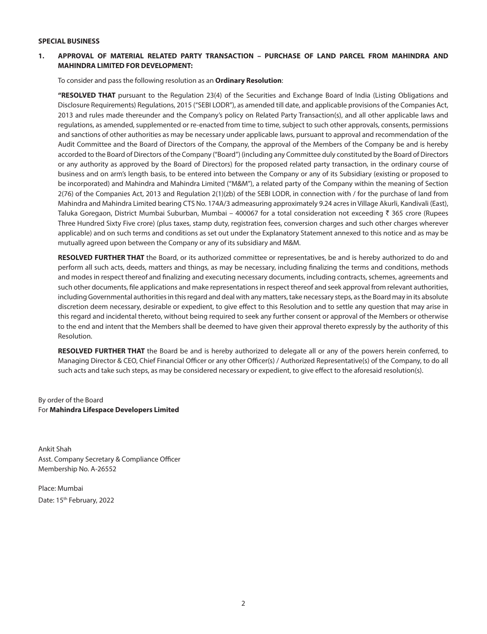#### **SPECIAL BUSINESS**

## **1. APPROVAL OF MATERIAL RELATED PARTY TRANSACTION – PURCHASE OF LAND PARCEL FROM MAHINDRA AND MAHINDRA LIMITED FOR DEVELOPMENT:**

To consider and pass the following resolution as an **Ordinary Resolution**:

**"RESOLVED THAT** pursuant to the Regulation 23(4) of the Securities and Exchange Board of India (Listing Obligations and Disclosure Requirements) Regulations, 2015 ("SEBI LODR"), as amended till date, and applicable provisions of the Companies Act, 2013 and rules made thereunder and the Company's policy on Related Party Transaction(s), and all other applicable laws and regulations, as amended, supplemented or re-enacted from time to time, subject to such other approvals, consents, permissions and sanctions of other authorities as may be necessary under applicable laws, pursuant to approval and recommendation of the Audit Committee and the Board of Directors of the Company, the approval of the Members of the Company be and is hereby accorded to the Board of Directors of the Company ("Board") (including any Committee duly constituted by the Board of Directors or any authority as approved by the Board of Directors) for the proposed related party transaction, in the ordinary course of business and on arm's length basis, to be entered into between the Company or any of its Subsidiary (existing or proposed to be incorporated) and Mahindra and Mahindra Limited ("M&M"), a related party of the Company within the meaning of Section 2(76) of the Companies Act, 2013 and Regulation 2(1)(zb) of the SEBI LODR, in connection with / for the purchase of land from Mahindra and Mahindra Limited bearing CTS No. 174A/3 admeasuring approximately 9.24 acres in Village Akurli, Kandivali (East), Taluka Goregaon, District Mumbai Suburban, Mumbai – 400067 for a total consideration not exceeding  $\bar{\tau}$  365 crore (Rupees Three Hundred Sixty Five crore) (plus taxes, stamp duty, registration fees, conversion charges and such other charges wherever applicable) and on such terms and conditions as set out under the Explanatory Statement annexed to this notice and as may be mutually agreed upon between the Company or any of its subsidiary and M&M.

**RESOLVED FURTHER THAT** the Board, or its authorized committee or representatives, be and is hereby authorized to do and perform all such acts, deeds, matters and things, as may be necessary, including finalizing the terms and conditions, methods and modes in respect thereof and finalizing and executing necessary documents, including contracts, schemes, agreements and such other documents, file applications and make representations in respect thereof and seek approval from relevant authorities, including Governmental authorities in this regard and deal with any matters, take necessary steps, as the Board may in its absolute discretion deem necessary, desirable or expedient, to give effect to this Resolution and to settle any question that may arise in this regard and incidental thereto, without being required to seek any further consent or approval of the Members or otherwise to the end and intent that the Members shall be deemed to have given their approval thereto expressly by the authority of this Resolution.

**RESOLVED FURTHER THAT** the Board be and is hereby authorized to delegate all or any of the powers herein conferred, to Managing Director & CEO, Chief Financial Officer or any other Officer(s) / Authorized Representative(s) of the Company, to do all such acts and take such steps, as may be considered necessary or expedient, to give effect to the aforesaid resolution(s).

By order of the Board For **Mahindra Lifespace Developers Limited**

Ankit Shah Asst. Company Secretary & Compliance Officer Membership No. A-26552

Place: Mumbai Date: 15<sup>th</sup> February, 2022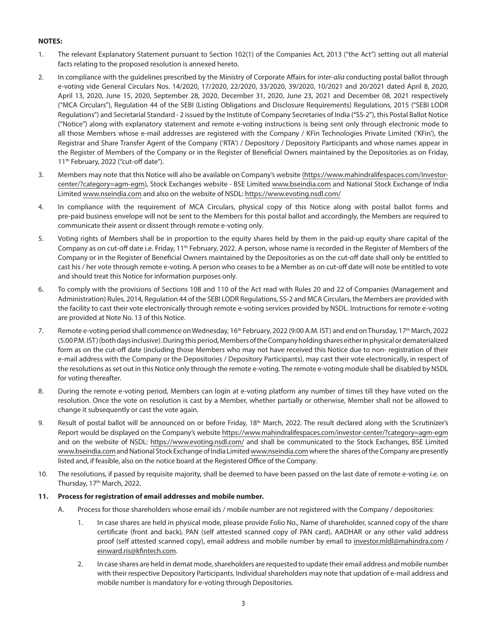## **NOTES:**

- 1. The relevant Explanatory Statement pursuant to Section 102(1) of the Companies Act, 2013 ("the Act") setting out all material facts relating to the proposed resolution is annexed hereto.
- 2. In compliance with the guidelines prescribed by the Ministry of Corporate Affairs for *inter-alia* conducting postal ballot through e-voting vide General Circulars Nos. 14/2020, 17/2020, 22/2020, 33/2020, 39/2020, 10/2021 and 20/2021 dated April 8, 2020, April 13, 2020, June 15, 2020, September 28, 2020, December 31, 2020, June 23, 2021 and December 08, 2021 respectively ("MCA Circulars"), Regulation 44 of the SEBI (Listing Obligations and Disclosure Requirements) Regulations, 2015 ("SEBI LODR Regulations") and Secretarial Standard - 2 issued by the Institute of Company Secretaries of India ("SS-2"), this Postal Ballot Notice ("Notice") along with explanatory statement and remote e-voting instructions is being sent only through electronic mode to all those Members whose e-mail addresses are registered with the Company / KFin Technologies Private Limited ('KFin'), the Registrar and Share Transfer Agent of the Company ('RTA') / Depository / Depository Participants and whose names appear in the Register of Members of the Company or in the Register of Beneficial Owners maintained by the Depositories as on Friday, 11<sup>th</sup> February, 2022 ("cut-off date").
- 3. Members may note that this Notice will also be available on Company's website (https://www.mahindralifespaces.com/investorcenter/?category=agm-egm), Stock Exchanges website - BSE Limited www.bseindia.com and National Stock Exchange of India Limited www.nseindia.com and also on the website of NSDL: https://www.evoting.nsdl.com/
- 4. In compliance with the requirement of MCA Circulars, physical copy of this Notice along with postal ballot forms and pre-paid business envelope will not be sent to the Members for this postal ballot and accordingly, the Members are required to communicate their assent or dissent through remote e-voting only.
- 5. Voting rights of Members shall be in proportion to the equity shares held by them in the paid-up equity share capital of the Company as on cut-off date i.e. Friday, 11<sup>th</sup> February, 2022. A person, whose name is recorded in the Register of Members of the Company or in the Register of Beneficial Owners maintained by the Depositories as on the cut-off date shall only be entitled to cast his / her vote through remote e-voting. A person who ceases to be a Member as on cut-off date will note be entitled to vote and should treat this Notice for information purposes only.
- 6. To comply with the provisions of Sections 108 and 110 of the Act read with Rules 20 and 22 of Companies (Management and Administration) Rules, 2014, Regulation 44 of the SEBI LODR Regulations, SS-2 and MCA Circulars, the Members are provided with the facility to cast their vote electronically through remote e-voting services provided by NSDL. Instructions for remote e-voting are provided at Note No. 13 of this Notice.
- 7. Remote e-voting period shall commence on Wednesday, 16<sup>th</sup> February, 2022 (9:00 A.M. IST) and end on Thursday, 17<sup>th</sup> March, 2022 (5.00 P.M. IST) (both days inclusive). During this period, Members of the Company holding shares either in physical or dematerialized form as on the cut-off date (including those Members who may not have received this Notice due to non- registration of their e-mail address with the Company or the Depositories / Depository Participants), may cast their vote electronically, in respect of the resolutions as set out in this Notice only through the remote e-voting. The remote e-voting module shall be disabled by NSDL for voting thereafter.
- 8. During the remote e-voting period, Members can login at e-voting platform any number of times till they have voted on the resolution. Once the vote on resolution is cast by a Member, whether partially or otherwise, Member shall not be allowed to change it subsequently or cast the vote again.
- 9. Result of postal ballot will be announced on or before Friday, 18<sup>th</sup> March, 2022. The result declared along with the Scrutinizer's Report would be displayed on the Company's website https://www.mahindralifespaces.com/investor-center/?category=agm-egm and on the website of NSDL: https://www.evoting.nsdl.com/ and shall be communicated to the Stock Exchanges, BSE Limited www.bseindia.com and National Stock Exchange of India Limited www.nseindia.com where the shares of the Company are presently listed and, if feasible, also on the notice board at the Registered Office of the Company.
- 10. The resolutions, if passed by requisite majority, shall be deemed to have been passed on the last date of remote e-voting i.e. on Thursday, 17<sup>th</sup> March, 2022.

## **11. Process for registration of email addresses and mobile number.**

- A. Process for those shareholders whose email ids / mobile number are not registered with the Company / depositories:
	- 1. In case shares are held in physical mode, please provide Folio No., Name of shareholder, scanned copy of the share certificate (front and back), PAN (self attested scanned copy of PAN card), AADHAR or any other valid address proof (self attested scanned copy), email address and mobile number by email to investor.mldl@mahindra.com / einward.ris@kfintech.com.
	- 2. In case shares are held in demat mode, shareholders are requested to update their email address and mobile number with their respective Depository Participants. Individual shareholders may note that updation of e-mail address and mobile number is mandatory for e-voting through Depositories.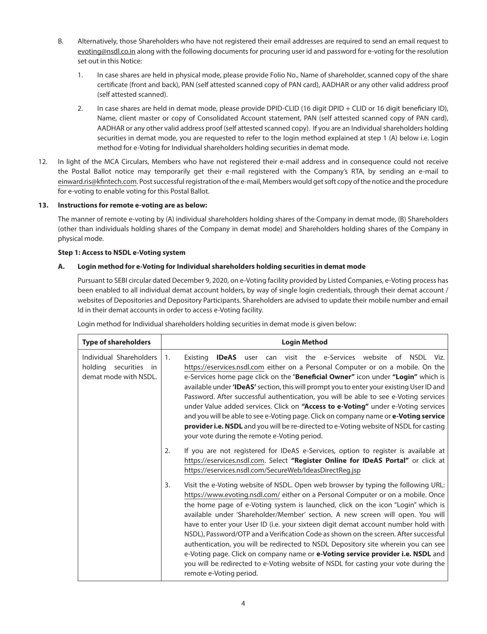- B. Alternatively, those Shareholders who have not registered their email addresses are required to send an email request to evoting@nsdl.co.in along with the following documents for procuring user id and password for e-voting for the resolution set out in this Notice:
	- 1. In case shares are held in physical mode, please provide Folio No., Name of shareholder, scanned copy of the share certificate (front and back), PAN (self attested scanned copy of PAN card), AADHAR or any other valid address proof (self attested scanned).
	- 2. In case shares are held in demat mode, please provide DPID-CLID (16 digit DPID + CLID or 16 digit beneficiary ID), Name, client master or copy of Consolidated Account statement, PAN (self attested scanned copy of PAN card), AADHAR or any other valid address proof (self attested scanned copy). If you are an Individual shareholders holding securities in demat mode, you are requested to refer to the login method explained at step 1 (A) below i.e. Login method for e-Voting for Individual shareholders holding securities in demat mode.
- 12. In light of the MCA Circulars, Members who have not registered their e-mail address and in consequence could not receive the Postal Ballot notice may temporarily get their e-mail registered with the Company's RTA, by sending an e-mail to einward.ris@kfintech.com. Post successful registration of the e-mail, Members would get soft copy of the notice and the procedure for e-voting to enable voting for this Postal Ballot.

### **13. Instructions for remote e-voting are as below:**

The manner of remote e-voting by (A) individual shareholders holding shares of the Company in demat mode, (B) Shareholders (other than individuals holding shares of the Company in demat mode) and Shareholders holding shares of the Company in physical mode.

#### **Step 1: Access to NSDL e-Voting system**

### **A. Login method for e-Voting for Individual shareholders holding securities in demat mode**

 Pursuant to SEBI circular dated December 9, 2020, on e-Voting facility provided by Listed Companies, e-Voting process has been enabled to all individual demat account holders, by way of single login credentials, through their demat account / websites of Depositories and Depository Participants. Shareholders are advised to update their mobile number and email Id in their demat accounts in order to access e-Voting facility.

| <b>Type of shareholders</b>                                               | <b>Login Method</b>                                                                                                                                                                                                                                                                                                                                                                                                                                                                                                                                                                                                                                                                                                                                                                                                        |
|---------------------------------------------------------------------------|----------------------------------------------------------------------------------------------------------------------------------------------------------------------------------------------------------------------------------------------------------------------------------------------------------------------------------------------------------------------------------------------------------------------------------------------------------------------------------------------------------------------------------------------------------------------------------------------------------------------------------------------------------------------------------------------------------------------------------------------------------------------------------------------------------------------------|
| Individual Shareholders<br>holding securities in<br>demat mode with NSDL. | user can visit the e-Services website of NSDL Viz.<br>1 <sub>1</sub><br>Existina<br><b>IDeAS</b><br>https://eservices.nsdl.com either on a Personal Computer or on a mobile. On the<br>e-Services home page click on the "Beneficial Owner" icon under "Login" which is<br>available under 'IDeAS' section, this will prompt you to enter your existing User ID and<br>Password. After successful authentication, you will be able to see e-Voting services<br>under Value added services. Click on "Access to e-Voting" under e-Voting services<br>and you will be able to see e-Voting page. Click on company name or e-Voting service<br>provider i.e. NSDL and you will be re-directed to e-Voting website of NSDL for casting<br>your vote during the remote e-Voting period.                                         |
|                                                                           | If you are not registered for IDeAS e-Services, option to register is available at<br>2.<br>https://eservices.nsdl.com. Select "Register Online for IDeAS Portal" or click at<br>https://eservices.nsdl.com/SecureWeb/IdeasDirectReg.jsp                                                                                                                                                                                                                                                                                                                                                                                                                                                                                                                                                                                   |
|                                                                           | Visit the e-Voting website of NSDL. Open web browser by typing the following URL:<br>3.<br>https://www.evoting.nsdl.com/ either on a Personal Computer or on a mobile. Once<br>the home page of e-Voting system is launched, click on the icon "Login" which is<br>available under 'Shareholder/Member' section. A new screen will open. You will<br>have to enter your User ID (i.e. your sixteen digit demat account number hold with<br>NSDL), Password/OTP and a Verification Code as shown on the screen. After successful<br>authentication, you will be redirected to NSDL Depository site wherein you can see<br>e-Voting page. Click on company name or e-Voting service provider i.e. NSDL and<br>you will be redirected to e-Voting website of NSDL for casting your vote during the<br>remote e-Voting period. |

Login method for Individual shareholders holding securities in demat mode is given below: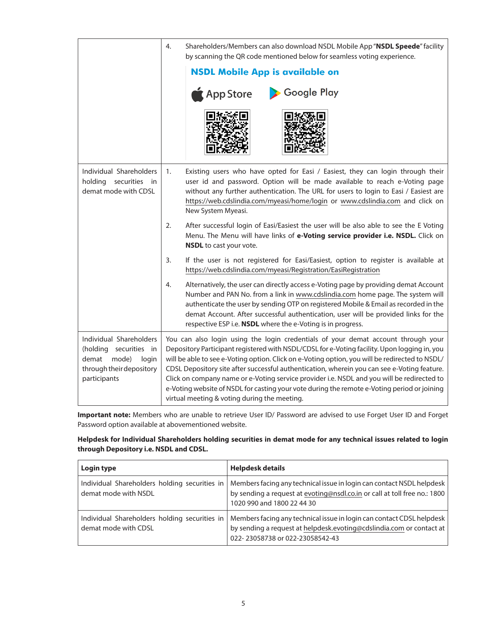|                                                                                                                          | 4.<br>Shareholders/Members can also download NSDL Mobile App "NSDL Speede" facility<br>by scanning the QR code mentioned below for seamless voting experience.                                                                                                                                                                                                                                                                                                                                                                                                                                                                  |
|--------------------------------------------------------------------------------------------------------------------------|---------------------------------------------------------------------------------------------------------------------------------------------------------------------------------------------------------------------------------------------------------------------------------------------------------------------------------------------------------------------------------------------------------------------------------------------------------------------------------------------------------------------------------------------------------------------------------------------------------------------------------|
|                                                                                                                          | <b>NSDL Mobile App is available on</b>                                                                                                                                                                                                                                                                                                                                                                                                                                                                                                                                                                                          |
|                                                                                                                          | App Store<br>Google Play                                                                                                                                                                                                                                                                                                                                                                                                                                                                                                                                                                                                        |
|                                                                                                                          |                                                                                                                                                                                                                                                                                                                                                                                                                                                                                                                                                                                                                                 |
| Individual Shareholders<br>holding securities in<br>demat mode with CDSL                                                 | 1.<br>Existing users who have opted for Easi / Easiest, they can login through their<br>user id and password. Option will be made available to reach e-Voting page<br>without any further authentication. The URL for users to login to Easi / Easiest are<br>https://web.cdslindia.com/myeasi/home/login or www.cdslindia.com and click on<br>New System Myeasi.                                                                                                                                                                                                                                                               |
|                                                                                                                          | After successful login of Easi/Easiest the user will be also able to see the E Voting<br>2.<br>Menu. The Menu will have links of e-Voting service provider i.e. NSDL. Click on<br>NSDL to cast your vote.                                                                                                                                                                                                                                                                                                                                                                                                                       |
|                                                                                                                          | 3.<br>If the user is not registered for Easi/Easiest, option to register is available at<br>https://web.cdslindia.com/myeasi/Registration/EasiRegistration                                                                                                                                                                                                                                                                                                                                                                                                                                                                      |
|                                                                                                                          | Alternatively, the user can directly access e-Voting page by providing demat Account<br>4.<br>Number and PAN No. from a link in www.cdslindia.com home page. The system will<br>authenticate the user by sending OTP on registered Mobile & Email as recorded in the<br>demat Account. After successful authentication, user will be provided links for the<br>respective ESP i.e. NSDL where the e-Voting is in progress.                                                                                                                                                                                                      |
| Individual Shareholders<br>(holding securities in<br>mode)<br>demat<br>login<br>through their depository<br>participants | You can also login using the login credentials of your demat account through your<br>Depository Participant registered with NSDL/CDSL for e-Voting facility. Upon logging in, you<br>will be able to see e-Voting option. Click on e-Voting option, you will be redirected to NSDL/<br>CDSL Depository site after successful authentication, wherein you can see e-Voting feature.<br>Click on company name or e-Voting service provider i.e. NSDL and you will be redirected to<br>e-Voting website of NSDL for casting your vote during the remote e-Voting period or joining<br>virtual meeting & voting during the meeting. |

 **Important note:** Members who are unable to retrieve User ID/ Password are advised to use Forget User ID and Forget Password option available at abovementioned website.

## **Helpdesk for Individual Shareholders holding securities in demat mode for any technical issues related to login through Depository i.e. NSDL and CDSL.**

| Login type                                                            | <b>Helpdesk details</b>                                                                                                                                                            |
|-----------------------------------------------------------------------|------------------------------------------------------------------------------------------------------------------------------------------------------------------------------------|
| Individual Shareholders holding securities in<br>demat mode with NSDL | Members facing any technical issue in login can contact NSDL helpdesk<br>by sending a request at evoting@nsdl.co.in or call at toll free no.: 1800<br>1020 990 and 1800 22 44 30   |
| Individual Shareholders holding securities in<br>demat mode with CDSL | Members facing any technical issue in login can contact CDSL helpdesk<br>by sending a request at helpdesk.evoting@cdslindia.com or contact at  <br>022-23058738 or 022-23058542-43 |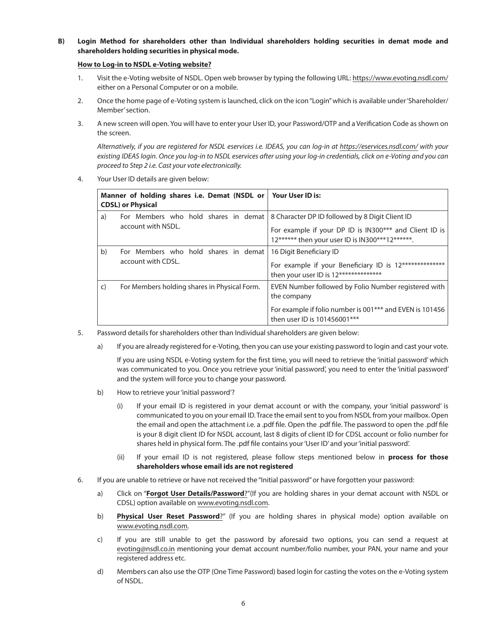**B) Login Method for shareholders other than Individual shareholders holding securities in demat mode and shareholders holding securities in physical mode.**

## **How to Log-in to NSDL e-Voting website?**

- 1. Visit the e-Voting website of NSDL. Open web browser by typing the following URL: https://www.evoting.nsdl.com/ either on a Personal Computer or on a mobile.
- 2. Once the home page of e-Voting system is launched, click on the icon "Login" which is available under 'Shareholder/ Member' section.
- 3. A new screen will open. You will have to enter your User ID, your Password/OTP and a Verification Code as shown on the screen.

 *Alternatively, if you are registered for NSDL eservices i.e. IDEAS, you can log-in at https://eservices.nsdl.com/ with your existing IDEAS login. Once you log-in to NSDL eservices after using your log-in credentials, click on e-Voting and you can proceed to Step 2 i.e. Cast your vote electronically.*

4. Your User ID details are given below:

| Manner of holding shares i.e. Demat (NSDL or<br><b>CDSL) or Physical</b> |                                                                                                              | Your User ID is:                                                                                                           |
|--------------------------------------------------------------------------|--------------------------------------------------------------------------------------------------------------|----------------------------------------------------------------------------------------------------------------------------|
| a)                                                                       | For Members who hold shares in demat   8 Character DP ID followed by 8 Digit Client ID<br>account with NSDL. | For example if your DP ID is IN300*** and Client ID is<br>12****** then your user ID is IN300***12******.                  |
| b)                                                                       | For Members who hold shares in demat<br>account with CDSL.                                                   | 16 Digit Beneficiary ID<br>For example if your Beneficiary ID is 12**************<br>then your user ID is 12************** |
| $\mathsf{C}$<br>For Members holding shares in Physical Form.             |                                                                                                              | EVEN Number followed by Folio Number registered with<br>the company                                                        |
|                                                                          |                                                                                                              | For example if folio number is 001 <sup>***</sup> and EVEN is 101456<br>then user ID is 101456001***                       |

- 5. Password details for shareholders other than Individual shareholders are given below:
	- a) If you are already registered for e-Voting, then you can use your existing password to login and cast your vote.

 If you are using NSDL e-Voting system for the first time, you will need to retrieve the 'initial password' which was communicated to you. Once you retrieve your 'initial password', you need to enter the 'initial password' and the system will force you to change your password.

- b) How to retrieve your 'initial password'?
	- (i) If your email ID is registered in your demat account or with the company, your 'initial password' is communicated to you on your email ID. Trace the email sent to you from NSDL from your mailbox. Open the email and open the attachment i.e. a .pdf file. Open the .pdf file. The password to open the .pdf file is your 8 digit client ID for NSDL account, last 8 digits of client ID for CDSL account or folio number for shares held in physical form. The .pdf file contains your 'User ID' and your 'initial password'.
	- (ii) If your email ID is not registered, please follow steps mentioned below in **process for those shareholders whose email ids are not registered**
- 6. If you are unable to retrieve or have not received the "Initial password" or have forgotten your password:
	- a) Click on "**Forgot User Details/Password**?"(If you are holding shares in your demat account with NSDL or CDSL) option available on www.evoting.nsdl.com.
	- b) **Physical User Reset Password**?" (If you are holding shares in physical mode) option available on www.evoting.nsdl.com.
	- c) If you are still unable to get the password by aforesaid two options, you can send a request at evoting@nsdl.co.in mentioning your demat account number/folio number, your PAN, your name and your registered address etc.
	- d) Members can also use the OTP (One Time Password) based login for casting the votes on the e-Voting system of NSDL.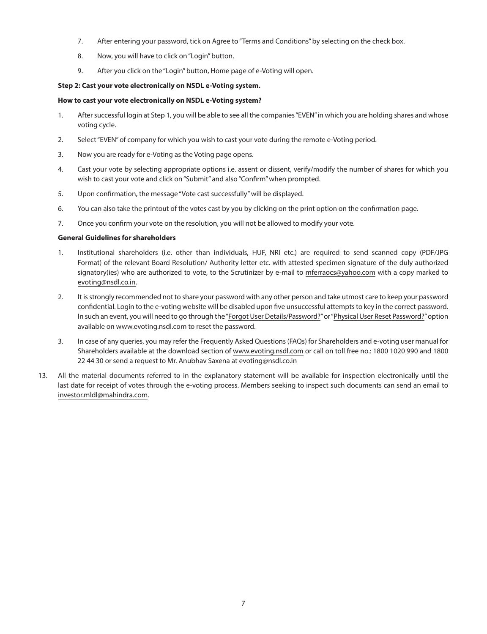- 7. After entering your password, tick on Agree to "Terms and Conditions" by selecting on the check box.
- 8. Now, you will have to click on "Login" button.
- 9. After you click on the "Login" button, Home page of e-Voting will open.

### **Step 2: Cast your vote electronically on NSDL e-Voting system.**

#### **How to cast your vote electronically on NSDL e-Voting system?**

- 1. After successful login at Step 1, you will be able to see all the companies "EVEN" in which you are holding shares and whose voting cycle.
- 2. Select "EVEN" of company for which you wish to cast your vote during the remote e-Voting period.
- 3. Now you are ready for e-Voting as the Voting page opens.
- 4. Cast your vote by selecting appropriate options i.e. assent or dissent, verify/modify the number of shares for which you wish to cast your vote and click on "Submit" and also "Confirm" when prompted.
- 5. Upon confirmation, the message "Vote cast successfully" will be displayed.
- 6. You can also take the printout of the votes cast by you by clicking on the print option on the confirmation page.
- 7. Once you confirm your vote on the resolution, you will not be allowed to modify your vote.

## **General Guidelines for shareholders**

- 1. Institutional shareholders (i.e. other than individuals, HUF, NRI etc.) are required to send scanned copy (PDF/JPG Format) of the relevant Board Resolution/ Authority letter etc. with attested specimen signature of the duly authorized signatory(ies) who are authorized to vote, to the Scrutinizer by e-mail to mferraocs@yahoo.com with a copy marked to evoting@nsdl.co.in.
- 2. It is strongly recommended not to share your password with any other person and take utmost care to keep your password confidential. Login to the e-voting website will be disabled upon five unsuccessful attempts to key in the correct password. In such an event, you will need to go through the "Forgot User Details/Password?" or "Physical User Reset Password?" option available on www.evoting.nsdl.com to reset the password.
- 3. In case of any queries, you may refer the Frequently Asked Questions (FAQs) for Shareholders and e-voting user manual for Shareholders available at the download section of www.evoting.nsdl.com or call on toll free no.: 1800 1020 990 and 1800 22 44 30 or send a request to Mr. Anubhav Saxena at evoting@nsdl.co.in
- 13. All the material documents referred to in the explanatory statement will be available for inspection electronically until the last date for receipt of votes through the e-voting process. Members seeking to inspect such documents can send an email to investor.mldl@mahindra.com.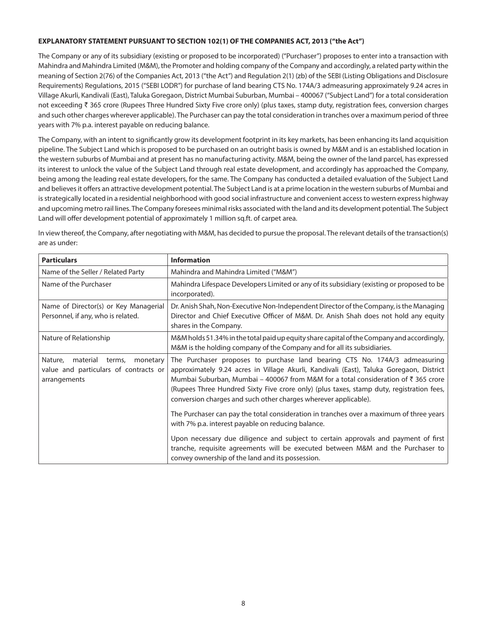## **EXPLANATORY STATEMENT PURSUANT TO SECTION 102(1) OF THE COMPANIES ACT, 2013 (''the Act")**

The Company or any of its subsidiary (existing or proposed to be incorporated) ("Purchaser") proposes to enter into a transaction with Mahindra and Mahindra Limited (M&M), the Promoter and holding company of the Company and accordingly, a related party within the meaning of Section 2(76) of the Companies Act, 2013 ("the Act") and Regulation 2(1) (zb) of the SEBI (Listing Obligations and Disclosure Requirements) Regulations, 2015 ("SEBI LODR") for purchase of land bearing CTS No. 174A/3 admeasuring approximately 9.24 acres in Village Akurli, Kandivali (East), Taluka Goregaon, District Mumbai Suburban, Mumbai – 400067 ("Subject Land") for a total consideration not exceeding ₹ 365 crore (Rupees Three Hundred Sixty Five crore only) (plus taxes, stamp duty, registration fees, conversion charges and such other charges wherever applicable). The Purchaser can pay the total consideration in tranches over a maximum period of three years with 7% p.a. interest payable on reducing balance.

The Company, with an intent to significantly grow its development footprint in its key markets, has been enhancing its land acquisition pipeline. The Subject Land which is proposed to be purchased on an outright basis is owned by M&M and is an established location in the western suburbs of Mumbai and at present has no manufacturing activity. M&M, being the owner of the land parcel, has expressed its interest to unlock the value of the Subject Land through real estate development, and accordingly has approached the Company, being among the leading real estate developers, for the same. The Company has conducted a detailed evaluation of the Subject Land and believes it offers an attractive development potential. The Subject Land is at a prime location in the western suburbs of Mumbai and is strategically located in a residential neighborhood with good social infrastructure and convenient access to western express highway and upcoming metro rail lines. The Company foresees minimal risks associated with the land and its development potential. The Subject Land will offer development potential of approximately 1 million sq.ft. of carpet area.

In view thereof, the Company, after negotiating with M&M, has decided to pursue the proposal. The relevant details of the transaction(s) are as under:

| <b>Particulars</b>                                                                                 | <b>Information</b>                                                                                                                                                                                                                                                                                                                                                                                                                    |
|----------------------------------------------------------------------------------------------------|---------------------------------------------------------------------------------------------------------------------------------------------------------------------------------------------------------------------------------------------------------------------------------------------------------------------------------------------------------------------------------------------------------------------------------------|
| Name of the Seller / Related Party                                                                 | Mahindra and Mahindra Limited ("M&M")                                                                                                                                                                                                                                                                                                                                                                                                 |
| Name of the Purchaser                                                                              | Mahindra Lifespace Developers Limited or any of its subsidiary (existing or proposed to be<br>incorporated).                                                                                                                                                                                                                                                                                                                          |
| Name of Director(s) or Key Managerial<br>Personnel, if any, who is related.                        | Dr. Anish Shah, Non-Executive Non-Independent Director of the Company, is the Managing<br>Director and Chief Executive Officer of M&M. Dr. Anish Shah does not hold any equity<br>shares in the Company.                                                                                                                                                                                                                              |
| Nature of Relationship                                                                             | M&M holds 51.34% in the total paid up equity share capital of the Company and accordingly,<br>M&M is the holding company of the Company and for all its subsidiaries.                                                                                                                                                                                                                                                                 |
| Nature,<br>material<br>monetary<br>terms,<br>value and particulars of contracts or<br>arrangements | The Purchaser proposes to purchase land bearing CTS No. 174A/3 admeasuring<br>approximately 9.24 acres in Village Akurli, Kandivali (East), Taluka Goregaon, District<br>Mumbai Suburban, Mumbai – 400067 from M&M for a total consideration of $\bar{\tau}$ 365 crore<br>(Rupees Three Hundred Sixty Five crore only) (plus taxes, stamp duty, registration fees,<br>conversion charges and such other charges wherever applicable). |
|                                                                                                    | The Purchaser can pay the total consideration in tranches over a maximum of three years<br>with 7% p.a. interest payable on reducing balance.                                                                                                                                                                                                                                                                                         |
|                                                                                                    | Upon necessary due diligence and subject to certain approvals and payment of first<br>tranche, requisite agreements will be executed between M&M and the Purchaser to<br>convey ownership of the land and its possession.                                                                                                                                                                                                             |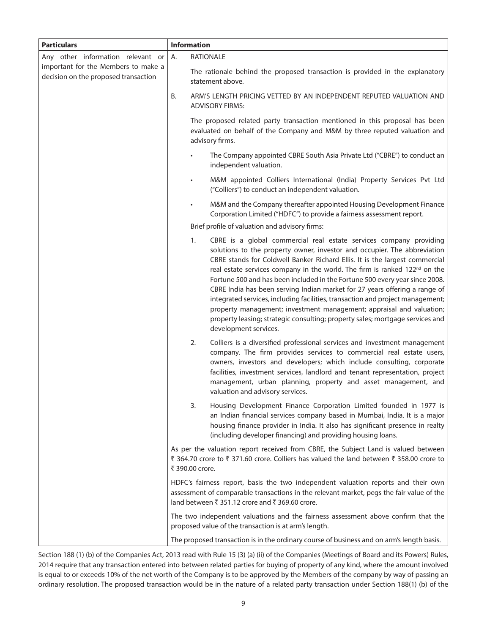| <b>Particulars</b>                                                          | <b>Information</b>                                                                                                                                                                                                                                                                                                                                                                                                                                                                                                                                                                                                                                                                                                                                             |
|-----------------------------------------------------------------------------|----------------------------------------------------------------------------------------------------------------------------------------------------------------------------------------------------------------------------------------------------------------------------------------------------------------------------------------------------------------------------------------------------------------------------------------------------------------------------------------------------------------------------------------------------------------------------------------------------------------------------------------------------------------------------------------------------------------------------------------------------------------|
| Any other information relevant or                                           | <b>RATIONALE</b><br>А.                                                                                                                                                                                                                                                                                                                                                                                                                                                                                                                                                                                                                                                                                                                                         |
| important for the Members to make a<br>decision on the proposed transaction | The rationale behind the proposed transaction is provided in the explanatory<br>statement above.                                                                                                                                                                                                                                                                                                                                                                                                                                                                                                                                                                                                                                                               |
|                                                                             | В.<br>ARM'S LENGTH PRICING VETTED BY AN INDEPENDENT REPUTED VALUATION AND<br><b>ADVISORY FIRMS:</b>                                                                                                                                                                                                                                                                                                                                                                                                                                                                                                                                                                                                                                                            |
|                                                                             | The proposed related party transaction mentioned in this proposal has been<br>evaluated on behalf of the Company and M&M by three reputed valuation and<br>advisory firms.                                                                                                                                                                                                                                                                                                                                                                                                                                                                                                                                                                                     |
|                                                                             | The Company appointed CBRE South Asia Private Ltd ("CBRE") to conduct an<br>independent valuation.                                                                                                                                                                                                                                                                                                                                                                                                                                                                                                                                                                                                                                                             |
|                                                                             | M&M appointed Colliers International (India) Property Services Pvt Ltd<br>("Colliers") to conduct an independent valuation.                                                                                                                                                                                                                                                                                                                                                                                                                                                                                                                                                                                                                                    |
|                                                                             | M&M and the Company thereafter appointed Housing Development Finance<br>Corporation Limited ("HDFC") to provide a fairness assessment report.                                                                                                                                                                                                                                                                                                                                                                                                                                                                                                                                                                                                                  |
|                                                                             | Brief profile of valuation and advisory firms:                                                                                                                                                                                                                                                                                                                                                                                                                                                                                                                                                                                                                                                                                                                 |
|                                                                             | CBRE is a global commercial real estate services company providing<br>1.<br>solutions to the property owner, investor and occupier. The abbreviation<br>CBRE stands for Coldwell Banker Richard Ellis. It is the largest commercial<br>real estate services company in the world. The firm is ranked 122 <sup>nd</sup> on the<br>Fortune 500 and has been included in the Fortune 500 every year since 2008.<br>CBRE India has been serving Indian market for 27 years offering a range of<br>integrated services, including facilities, transaction and project management;<br>property management; investment management; appraisal and valuation;<br>property leasing; strategic consulting; property sales; mortgage services and<br>development services. |
|                                                                             | Colliers is a diversified professional services and investment management<br>2.<br>company. The firm provides services to commercial real estate users,<br>owners, investors and developers; which include consulting, corporate<br>facilities, investment services, landlord and tenant representation, project<br>management, urban planning, property and asset management, and<br>valuation and advisory services.                                                                                                                                                                                                                                                                                                                                         |
|                                                                             | 3.<br>Housing Development Finance Corporation Limited founded in 1977 is<br>an Indian financial services company based in Mumbai, India. It is a major<br>housing finance provider in India. It also has significant presence in realty<br>(including developer financing) and providing housing loans.                                                                                                                                                                                                                                                                                                                                                                                                                                                        |
|                                                                             | As per the valuation report received from CBRE, the Subject Land is valued between<br>₹ 364.70 crore to ₹ 371.60 crore. Colliers has valued the land between ₹ 358.00 crore to<br>₹ 390.00 crore.                                                                                                                                                                                                                                                                                                                                                                                                                                                                                                                                                              |
|                                                                             | HDFC's fairness report, basis the two independent valuation reports and their own<br>assessment of comparable transactions in the relevant market, pegs the fair value of the<br>land between ₹ 351.12 crore and ₹ 369.60 crore.                                                                                                                                                                                                                                                                                                                                                                                                                                                                                                                               |
|                                                                             | The two independent valuations and the fairness assessment above confirm that the<br>proposed value of the transaction is at arm's length.                                                                                                                                                                                                                                                                                                                                                                                                                                                                                                                                                                                                                     |
|                                                                             | The proposed transaction is in the ordinary course of business and on arm's length basis.                                                                                                                                                                                                                                                                                                                                                                                                                                                                                                                                                                                                                                                                      |

Section 188 (1) (b) of the Companies Act, 2013 read with Rule 15 (3) (a) (ii) of the Companies (Meetings of Board and its Powers) Rules, 2014 require that any transaction entered into between related parties for buying of property of any kind, where the amount involved is equal to or exceeds 10% of the net worth of the Company is to be approved by the Members of the company by way of passing an ordinary resolution. The proposed transaction would be in the nature of a related party transaction under Section 188(1) (b) of the